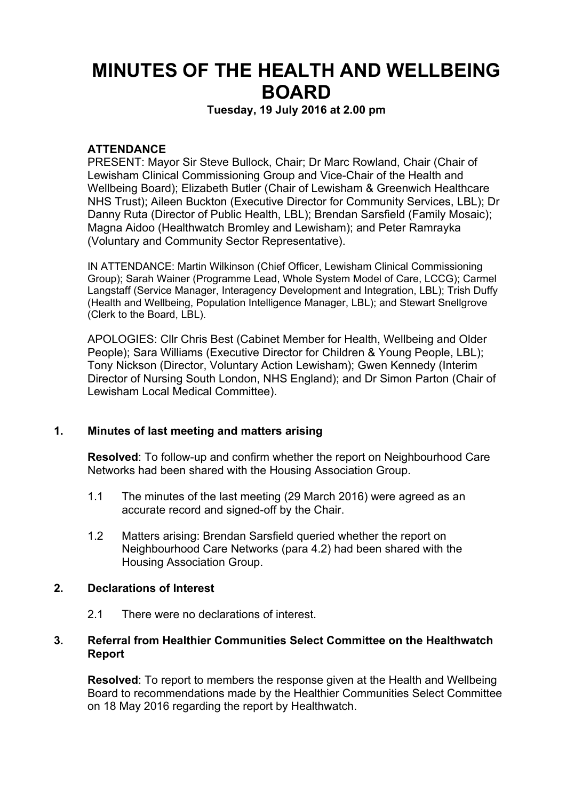# **MINUTES OF THE HEALTH AND WELLBEING BOARD**

**Tuesday, 19 July 2016 at 2.00 pm**

#### **ATTENDANCE**

PRESENT: Mayor Sir Steve Bullock, Chair; Dr Marc Rowland, Chair (Chair of Lewisham Clinical Commissioning Group and Vice-Chair of the Health and Wellbeing Board); Elizabeth Butler (Chair of Lewisham & Greenwich Healthcare NHS Trust); Aileen Buckton (Executive Director for Community Services, LBL); Dr Danny Ruta (Director of Public Health, LBL); Brendan Sarsfield (Family Mosaic); Magna Aidoo (Healthwatch Bromley and Lewisham); and Peter Ramrayka (Voluntary and Community Sector Representative).

IN ATTENDANCE: Martin Wilkinson (Chief Officer, Lewisham Clinical Commissioning Group); Sarah Wainer (Programme Lead, Whole System Model of Care, LCCG); Carmel Langstaff (Service Manager, Interagency Development and Integration, LBL); Trish Duffy (Health and Wellbeing, Population Intelligence Manager, LBL); and Stewart Snellgrove (Clerk to the Board, LBL).

APOLOGIES: Cllr Chris Best (Cabinet Member for Health, Wellbeing and Older People); Sara Williams (Executive Director for Children & Young People, LBL); Tony Nickson (Director, Voluntary Action Lewisham); Gwen Kennedy (Interim Director of Nursing South London, NHS England); and Dr Simon Parton (Chair of Lewisham Local Medical Committee).

#### **1. Minutes of last meeting and matters arising**

**Resolved**: To follow-up and confirm whether the report on Neighbourhood Care Networks had been shared with the Housing Association Group.

- 1.1 The minutes of the last meeting (29 March 2016) were agreed as an accurate record and signed-off by the Chair.
- 1.2 Matters arising: Brendan Sarsfield queried whether the report on Neighbourhood Care Networks (para 4.2) had been shared with the Housing Association Group.

#### **2. Declarations of Interest**

2.1 There were no declarations of interest.

#### **3. Referral from Healthier Communities Select Committee on the Healthwatch Report**

**Resolved**: To report to members the response given at the Health and Wellbeing Board to recommendations made by the Healthier Communities Select Committee on 18 May 2016 regarding the report by Healthwatch.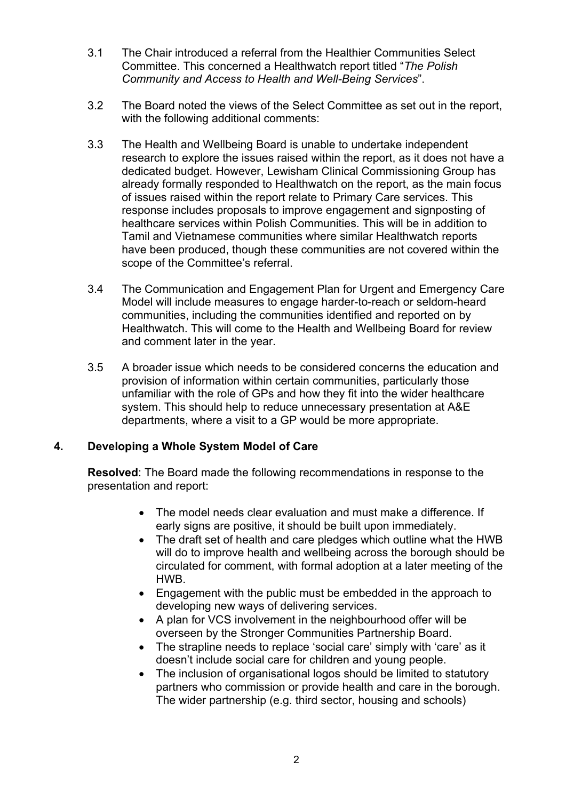- 3.1 The Chair introduced a referral from the Healthier Communities Select Committee. This concerned a Healthwatch report titled "*The Polish Community and Access to Health and Well-Being Services*".
- 3.2 The Board noted the views of the Select Committee as set out in the report, with the following additional comments:
- 3.3 The Health and Wellbeing Board is unable to undertake independent research to explore the issues raised within the report, as it does not have a dedicated budget. However, Lewisham Clinical Commissioning Group has already formally responded to Healthwatch on the report, as the main focus of issues raised within the report relate to Primary Care services. This response includes proposals to improve engagement and signposting of healthcare services within Polish Communities. This will be in addition to Tamil and Vietnamese communities where similar Healthwatch reports have been produced, though these communities are not covered within the scope of the Committee's referral.
- 3.4 The Communication and Engagement Plan for Urgent and Emergency Care Model will include measures to engage harder-to-reach or seldom-heard communities, including the communities identified and reported on by Healthwatch. This will come to the Health and Wellbeing Board for review and comment later in the year.
- 3.5 A broader issue which needs to be considered concerns the education and provision of information within certain communities, particularly those unfamiliar with the role of GPs and how they fit into the wider healthcare system. This should help to reduce unnecessary presentation at A&E departments, where a visit to a GP would be more appropriate.

# **4. Developing a Whole System Model of Care**

**Resolved**: The Board made the following recommendations in response to the presentation and report:

- The model needs clear evaluation and must make a difference. If early signs are positive, it should be built upon immediately.
- The draft set of health and care pledges which outline what the HWB will do to improve health and wellbeing across the borough should be circulated for comment, with formal adoption at a later meeting of the HWB.
- Engagement with the public must be embedded in the approach to developing new ways of delivering services.
- A plan for VCS involvement in the neighbourhood offer will be overseen by the Stronger Communities Partnership Board.
- The strapline needs to replace 'social care' simply with 'care' as it doesn't include social care for children and young people.
- The inclusion of organisational logos should be limited to statutory partners who commission or provide health and care in the borough. The wider partnership (e.g. third sector, housing and schools)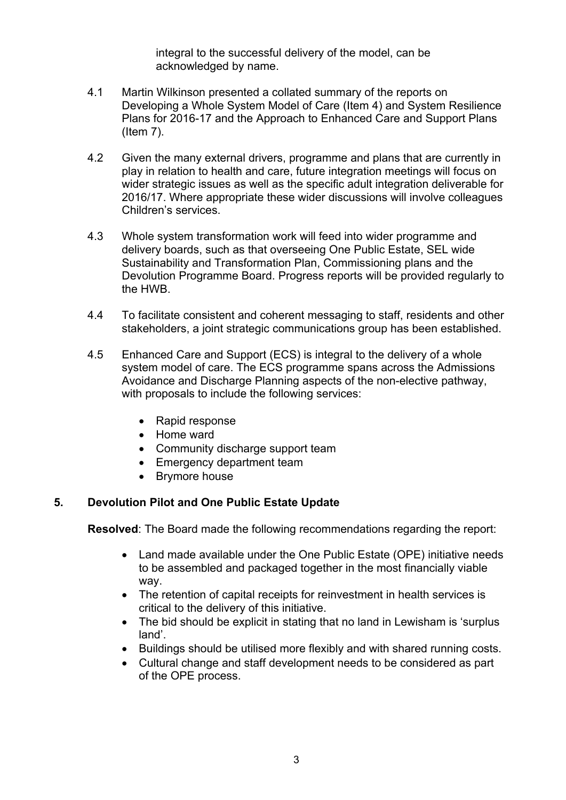integral to the successful delivery of the model, can be acknowledged by name.

- 4.1 Martin Wilkinson presented a collated summary of the reports on Developing a Whole System Model of Care (Item 4) and System Resilience Plans for 2016-17 and the Approach to Enhanced Care and Support Plans (Item 7).
- 4.2 Given the many external drivers, programme and plans that are currently in play in relation to health and care, future integration meetings will focus on wider strategic issues as well as the specific adult integration deliverable for 2016/17. Where appropriate these wider discussions will involve colleagues Children's services.
- 4.3 Whole system transformation work will feed into wider programme and delivery boards, such as that overseeing One Public Estate, SEL wide Sustainability and Transformation Plan, Commissioning plans and the Devolution Programme Board. Progress reports will be provided regularly to the HWB.
- 4.4 To facilitate consistent and coherent messaging to staff, residents and other stakeholders, a joint strategic communications group has been established.
- 4.5 Enhanced Care and Support (ECS) is integral to the delivery of a whole system model of care. The ECS programme spans across the Admissions Avoidance and Discharge Planning aspects of the non-elective pathway, with proposals to include the following services:
	- Rapid response
	- Home ward
	- Community discharge support team
	- Emergency department team
	- Brymore house

# **5. Devolution Pilot and One Public Estate Update**

**Resolved**: The Board made the following recommendations regarding the report:

- Land made available under the One Public Estate (OPE) initiative needs to be assembled and packaged together in the most financially viable way.
- The retention of capital receipts for reinvestment in health services is critical to the delivery of this initiative.
- The bid should be explicit in stating that no land in Lewisham is 'surplus land'.
- Buildings should be utilised more flexibly and with shared running costs.
- Cultural change and staff development needs to be considered as part of the OPE process.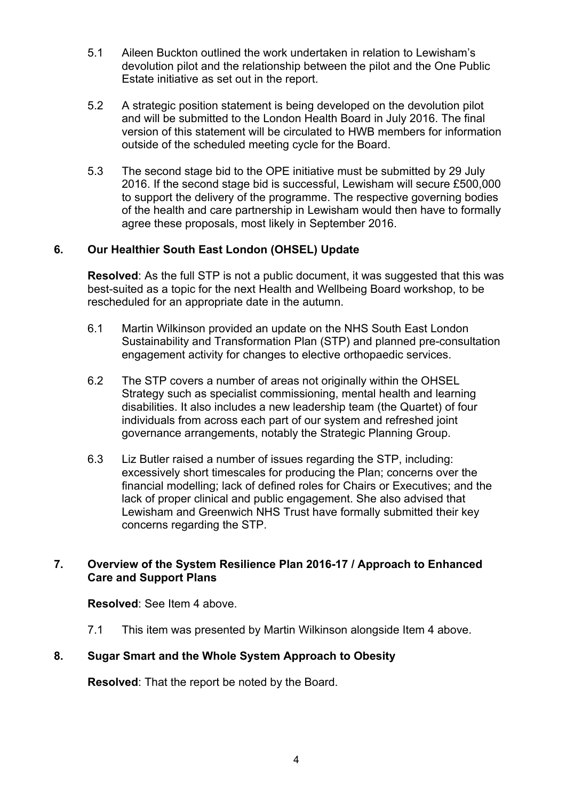- 5.1 Aileen Buckton outlined the work undertaken in relation to Lewisham's devolution pilot and the relationship between the pilot and the One Public Estate initiative as set out in the report.
- 5.2 A strategic position statement is being developed on the devolution pilot and will be submitted to the London Health Board in July 2016. The final version of this statement will be circulated to HWB members for information outside of the scheduled meeting cycle for the Board.
- 5.3 The second stage bid to the OPE initiative must be submitted by 29 July 2016. If the second stage bid is successful, Lewisham will secure £500,000 to support the delivery of the programme. The respective governing bodies of the health and care partnership in Lewisham would then have to formally agree these proposals, most likely in September 2016.

# **6. Our Healthier South East London (OHSEL) Update**

**Resolved**: As the full STP is not a public document, it was suggested that this was best-suited as a topic for the next Health and Wellbeing Board workshop, to be rescheduled for an appropriate date in the autumn.

- 6.1 Martin Wilkinson provided an update on the NHS South East London Sustainability and Transformation Plan (STP) and planned pre-consultation engagement activity for changes to elective orthopaedic services.
- 6.2 The STP covers a number of areas not originally within the OHSEL Strategy such as specialist commissioning, mental health and learning disabilities. It also includes a new leadership team (the Quartet) of four individuals from across each part of our system and refreshed joint governance arrangements, notably the Strategic Planning Group.
- 6.3 Liz Butler raised a number of issues regarding the STP, including: excessively short timescales for producing the Plan; concerns over the financial modelling; lack of defined roles for Chairs or Executives; and the lack of proper clinical and public engagement. She also advised that Lewisham and Greenwich NHS Trust have formally submitted their key concerns regarding the STP.

#### **7. Overview of the System Resilience Plan 2016-17 / Approach to Enhanced Care and Support Plans**

**Resolved**: See Item 4 above.

7.1 This item was presented by Martin Wilkinson alongside Item 4 above.

# **8. Sugar Smart and the Whole System Approach to Obesity**

**Resolved**: That the report be noted by the Board.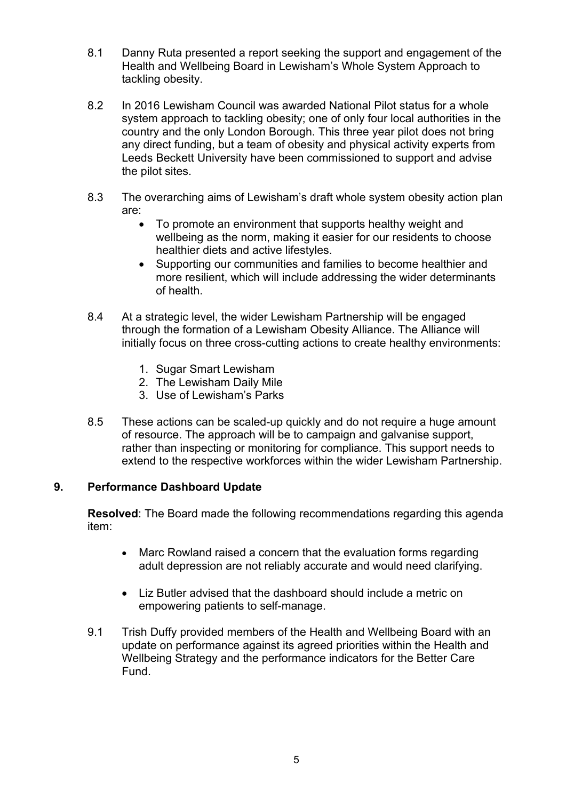- 8.1 Danny Ruta presented a report seeking the support and engagement of the Health and Wellbeing Board in Lewisham's Whole System Approach to tackling obesity.
- 8.2 In 2016 Lewisham Council was awarded National Pilot status for a whole system approach to tackling obesity; one of only four local authorities in the country and the only London Borough. This three year pilot does not bring any direct funding, but a team of obesity and physical activity experts from Leeds Beckett University have been commissioned to support and advise the pilot sites.
- 8.3 The overarching aims of Lewisham's draft whole system obesity action plan are:
	- To promote an environment that supports healthy weight and wellbeing as the norm, making it easier for our residents to choose healthier diets and active lifestyles.
	- Supporting our communities and families to become healthier and more resilient, which will include addressing the wider determinants of health.
- 8.4 At a strategic level, the wider Lewisham Partnership will be engaged through the formation of a Lewisham Obesity Alliance. The Alliance will initially focus on three cross-cutting actions to create healthy environments:
	- 1. Sugar Smart Lewisham
	- 2. The Lewisham Daily Mile
	- 3. Use of Lewisham's Parks
- 8.5 These actions can be scaled-up quickly and do not require a huge amount of resource. The approach will be to campaign and galvanise support, rather than inspecting or monitoring for compliance. This support needs to extend to the respective workforces within the wider Lewisham Partnership.

# **9. Performance Dashboard Update**

**Resolved**: The Board made the following recommendations regarding this agenda item:

- Marc Rowland raised a concern that the evaluation forms regarding adult depression are not reliably accurate and would need clarifying.
- Liz Butler advised that the dashboard should include a metric on empowering patients to self-manage.
- 9.1 Trish Duffy provided members of the Health and Wellbeing Board with an update on performance against its agreed priorities within the Health and Wellbeing Strategy and the performance indicators for the Better Care Fund.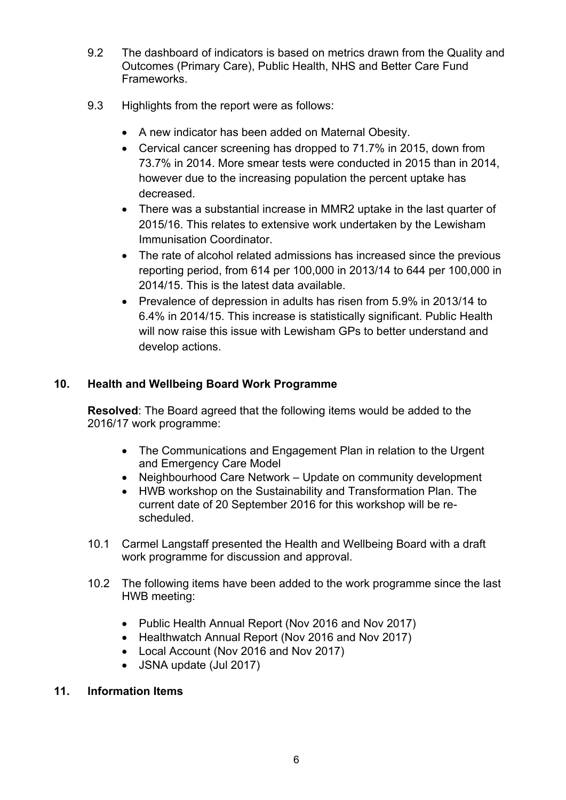- 9.2 The dashboard of indicators is based on metrics drawn from the Quality and Outcomes (Primary Care), Public Health, NHS and Better Care Fund Frameworks.
- 9.3 Highlights from the report were as follows:
	- A new indicator has been added on Maternal Obesity.
	- Cervical cancer screening has dropped to 71.7% in 2015, down from 73.7% in 2014. More smear tests were conducted in 2015 than in 2014, however due to the increasing population the percent uptake has decreased.
	- There was a substantial increase in MMR2 uptake in the last quarter of 2015/16. This relates to extensive work undertaken by the Lewisham Immunisation Coordinator.
	- The rate of alcohol related admissions has increased since the previous reporting period, from 614 per 100,000 in 2013/14 to 644 per 100,000 in 2014/15. This is the latest data available.
	- Prevalence of depression in adults has risen from 5.9% in 2013/14 to 6.4% in 2014/15. This increase is statistically significant. Public Health will now raise this issue with Lewisham GPs to better understand and develop actions.

# **10. Health and Wellbeing Board Work Programme**

**Resolved**: The Board agreed that the following items would be added to the 2016/17 work programme:

- The Communications and Engagement Plan in relation to the Urgent and Emergency Care Model
- Neighbourhood Care Network Update on community development
- HWB workshop on the Sustainability and Transformation Plan. The current date of 20 September 2016 for this workshop will be rescheduled.
- 10.1 Carmel Langstaff presented the Health and Wellbeing Board with a draft work programme for discussion and approval.
- 10.2 The following items have been added to the work programme since the last HWB meeting:
	- Public Health Annual Report (Nov 2016 and Nov 2017)
	- Healthwatch Annual Report (Nov 2016 and Nov 2017)
	- Local Account (Nov 2016 and Nov 2017)
	- JSNA update (Jul 2017)

#### **11. Information Items**